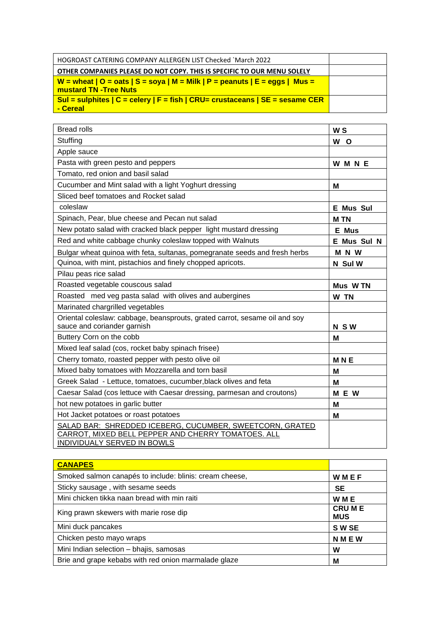| HOGROAST CATERING COMPANY ALLERGEN LIST Checked `March 2022                                                           |  |
|-----------------------------------------------------------------------------------------------------------------------|--|
| OTHER COMPANIES PLEASE DO NOT COPY. THIS IS SPECIFIC TO OUR MENU SOLELY                                               |  |
| <u>  W = wheat   O = oats   S = soya   M = Milk   P = peanuts   E = eggs   Mus = </u><br><b>mustard TN -Tree Nuts</b> |  |
| Sul = sulphites $ C $ = celery $ F $ = fish $ CRU $ = crustaceans $ SE $ = sesame CER<br>- Cereal                     |  |

| <b>Bread rolls</b>                                                                                                                                   | W <sub>S</sub>   |
|------------------------------------------------------------------------------------------------------------------------------------------------------|------------------|
| Stuffing                                                                                                                                             | W<br><b>O</b>    |
| Apple sauce                                                                                                                                          |                  |
| Pasta with green pesto and peppers                                                                                                                   | <b>WMNE</b>      |
| Tomato, red onion and basil salad                                                                                                                    |                  |
| Cucumber and Mint salad with a light Yoghurt dressing                                                                                                | Μ                |
| Sliced beef tomatoes and Rocket salad                                                                                                                |                  |
| coleslaw                                                                                                                                             | <b>E</b> Mus Sul |
| Spinach, Pear, blue cheese and Pecan nut salad                                                                                                       | <b>MTN</b>       |
| New potato salad with cracked black pepper light mustard dressing                                                                                    | E Mus            |
| Red and white cabbage chunky coleslaw topped with Walnuts                                                                                            | E Mus Sul N      |
| Bulgar wheat quinoa with feta, sultanas, pomegranate seeds and fresh herbs                                                                           | M N W            |
| Quinoa, with mint, pistachios and finely chopped apricots.                                                                                           | N Sul W          |
| Pilau peas rice salad                                                                                                                                |                  |
| Roasted vegetable couscous salad                                                                                                                     | Mus W TN         |
| Roasted med veg pasta salad with olives and aubergines                                                                                               | W TN             |
| Marinated chargrilled vegetables                                                                                                                     |                  |
| Oriental coleslaw: cabbage, beansprouts, grated carrot, sesame oil and soy<br>sauce and coriander garnish                                            | <b>NSW</b>       |
| Buttery Corn on the cobb                                                                                                                             | м                |
| Mixed leaf salad (cos, rocket baby spinach frisee)                                                                                                   |                  |
| Cherry tomato, roasted pepper with pesto olive oil                                                                                                   | <b>MNE</b>       |
| Mixed baby tomatoes with Mozzarella and torn basil                                                                                                   | M                |
| Greek Salad - Lettuce, tomatoes, cucumber, black olives and feta                                                                                     | М                |
| Caesar Salad (cos lettuce with Caesar dressing, parmesan and croutons)                                                                               | E W<br>М         |
| hot new potatoes in garlic butter                                                                                                                    | M                |
| Hot Jacket potatoes or roast potatoes                                                                                                                | M                |
| SALAD BAR: SHREDDED ICEBERG, CUCUMBER, SWEETCORN, GRATED<br>CARROT, MIXED BELL PEPPER AND CHERRY TOMATOES. ALL<br><b>INDIVIDUALY SERVED IN BOWLS</b> |                  |

| <b>CANAPES</b>                                          |                            |
|---------------------------------------------------------|----------------------------|
| Smoked salmon canapés to include: blinis: cream cheese, | WMEF                       |
| Sticky sausage, with sesame seeds                       | <b>SE</b>                  |
| Mini chicken tikka naan bread with min raiti            | <b>WME</b>                 |
| King prawn skewers with marie rose dip                  | <b>CRUME</b><br><b>MUS</b> |
| Mini duck pancakes                                      | S W SE                     |
| Chicken pesto mayo wraps                                | <b>NMEW</b>                |
| Mini Indian selection - bhajis, samosas                 | W                          |
| Brie and grape kebabs with red onion marmalade glaze    | М                          |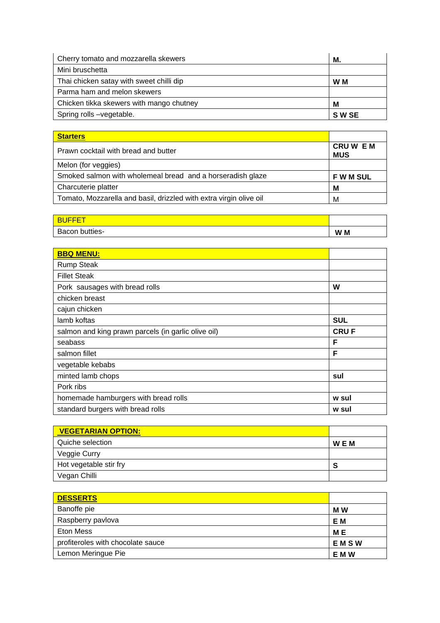| Cherry tomato and mozzarella skewers     | М.     |
|------------------------------------------|--------|
| Mini bruschetta                          |        |
| Thai chicken satay with sweet chilli dip | W M    |
| Parma ham and melon skewers              |        |
| Chicken tikka skewers with mango chutney | М      |
| Spring rolls -vegetable.                 | S W SE |

| <b>Starters</b>                                                    |                             |
|--------------------------------------------------------------------|-----------------------------|
| Prawn cocktail with bread and butter                               | <b>CRUWEM</b><br><b>MUS</b> |
| Melon (for veggies)                                                |                             |
| Smoked salmon with wholemeal bread and a horseradish glaze         | <b>FWMSUL</b>               |
| Charcuterie platter                                                | M                           |
| Tomato, Mozzarella and basil, drizzled with extra virgin olive oil | M                           |

| Bacon butties- | W M |
|----------------|-----|

| <b>BBQ MENU:</b>                                    |             |
|-----------------------------------------------------|-------------|
| <b>Rump Steak</b>                                   |             |
| <b>Fillet Steak</b>                                 |             |
| Pork sausages with bread rolls                      | W           |
| chicken breast                                      |             |
| cajun chicken                                       |             |
| lamb koftas                                         | <b>SUL</b>  |
| salmon and king prawn parcels (in garlic olive oil) | <b>CRUF</b> |
| seabass                                             | F           |
| salmon fillet                                       | F           |
| vegetable kebabs                                    |             |
| minted lamb chops                                   | sul         |
| Pork ribs                                           |             |
| homemade hamburgers with bread rolls                | w sul       |
| standard burgers with bread rolls                   | w sul       |

| <b>VEGETARIAN OPTION:</b> |            |
|---------------------------|------------|
| Quiche selection          | <b>WEM</b> |
| Veggie Curry              |            |
| Hot vegetable stir fry    |            |
| Vegan Chilli              |            |

| <b>DESSERTS</b>                   |             |
|-----------------------------------|-------------|
| Banoffe pie                       | M W         |
| Raspberry pavlova                 | E M         |
| Eton Mess                         | M E         |
| profiteroles with chocolate sauce | <b>EMSW</b> |
| Lemon Meringue Pie                | E M W       |